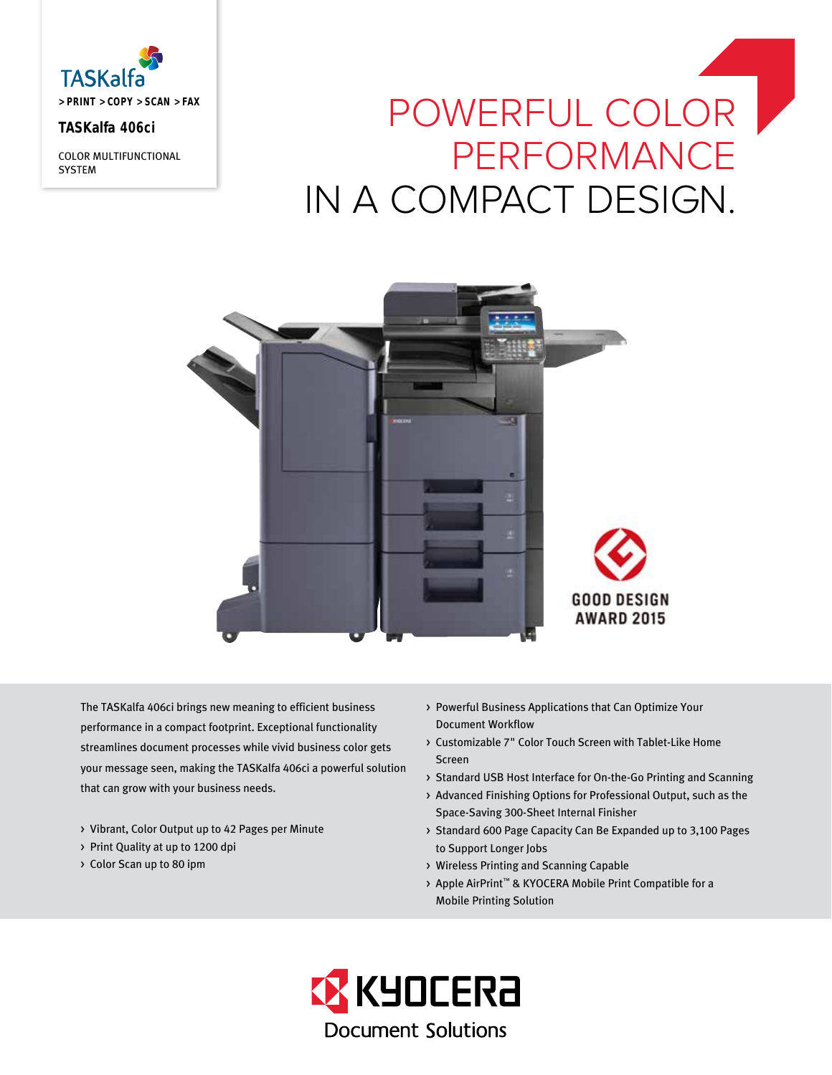

# **TASKalfa 406ci**

COLOR MULTIFUNCTIONAL **SYSTEM** 

# POWERFUL COLOR PERFORMANCE IN A COMPACT DESIGN.



The TASKalfa 406ci brings new meaning to efficient business performance in a compact footprint. Exceptional functionality streamlines document processes while vivid business color gets your message seen, making the TASKalfa 406ci a powerful solution that can grow with your business needs.

- > Vibrant, Color Output up to 42 Pages per Minute
- > Print Quality at up to 1200 dpi
- > Color Scan up to 80 ipm
- > Powerful Business Applications that Can Optimize Your Document Workflow
- > Customizable 7" Color Touch Screen with Tablet-Like Home Screen
- > Standard USB Host Interface for On-the-Go Printing and Scanning
- > Advanced Finishing Options for Professional Output, such as the Space-Saving 300-Sheet Internal Finisher
- > Standard 600 Page Capacity Can Be Expanded up to 3,100 Pages to Support Longer Jobs
- > Wireless Printing and Scanning Capable
- > Apple AirPrint™ & KYOCERA Mobile Print Compatible for a Mobile Printing Solution